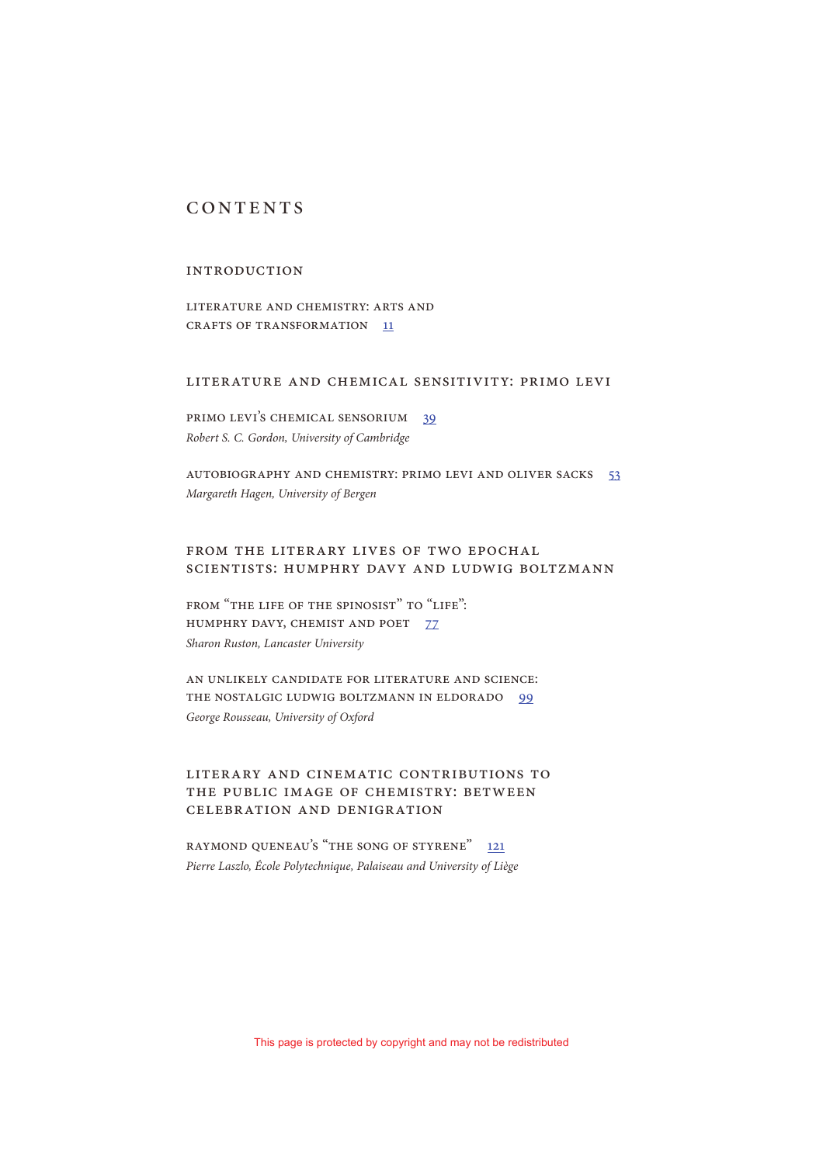# **CONTENTS**

## **INTRODUCTION**

LITERATURE AND CHEMISTRY: ARTS AND CRAFTS OF TRANSFORMATION 11

#### Literature and Chemical Sensitivity: Primo Levi

PRIMO LEVI'S CHEMICAL SENSORIUM 39 Robert S. C. Gordon, University of Cambridge

AUTOBIOGRAPHY AND CHEMISTRY: PRIMO LEVI AND OLIVER SACKS 53 Margareth Hagen, University of Bergen

## FROM THE LITERARY LIVES OF TWO EPOCHAL Scientists: Humphry Davy and Ludwig Boltzmann

FROM "THE LIFE OF THE SPINOSIST" TO "LIFE": HUMPHRY DAVY, CHEMIST AND POET 77 Sharon Ruston, Lancaster University

AN UNLIKELY CANDIDATE FOR LITERATURE AND SCIENCE: THE NOSTALGIC LUDWIG BOLTZMANN IN ELDORADO 99 George Rousseau, University of Oxford

# Literary and Cinematic Contributions to the Public Image of Chemistry: Between Celebration and Denigration

RAYMOND QUENEAU'S "THE SONG OF STYRENE" 121 Pierre Laszlo, École Polytechnique, Palaiseau and University of Liège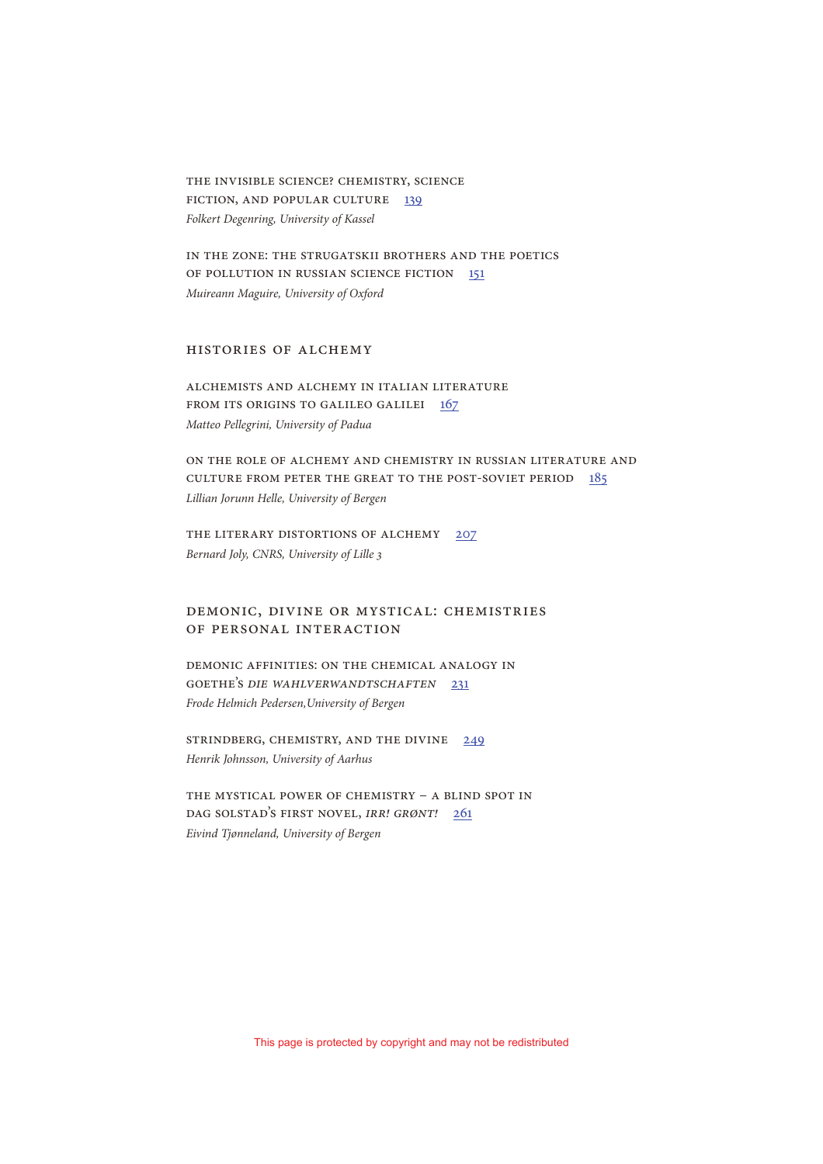THE INVISIBLE SCIENCE? CHEMISTRY, SCIENCE FICTION, AND POPULAR CULTURE 139 Folkert Degenring, University of Kassel

IN THE ZONE: THE STRUGATSKII BROTHERS AND THE POETICS OF POLLUTION IN RUSSIAN SCIENCE FICTION 151 Muireann Maguire, University of Oxford

## Histories of Alchemy

Alchemists and Alchemy in Italian Literature from its Origins to Galileo Galilei 167 Matteo Pellegrini, University of Padua

ON THE ROLE OF ALCHEMY AND CHEMISTRY IN RUSSIAN LITERATURE AND CULTURE FROM PETER THE GREAT TO THE POST-SOVIET PERIOD 185 Lillian Jorunn Helle, University of Bergen

THE LITERARY DISTORTIONS OF ALCHEMY 207 Bernard Joly, CNRS, University of Lille 3

## Demonic, Divine or Mystical: Chemistries of Personal Interaction

DEMONIC AFFINITIES: ON THE CHEMICAL ANALOGY IN GOETHE'S DIE WAHLVERWANDTSCHAFTEN 231 Frode Helmich Pedersen,University of Bergen

STRINDBERG, CHEMISTRY, AND THE DIVINE 249 Henrik Johnsson, University of Aarhus

THE MYSTICAL POWER OF CHEMISTRY – A BLIND SPOT IN DAG SOLSTAD'S FIRST NOVEL, IRR! GRØNT! 261 Eivind Tjønneland, University of Bergen